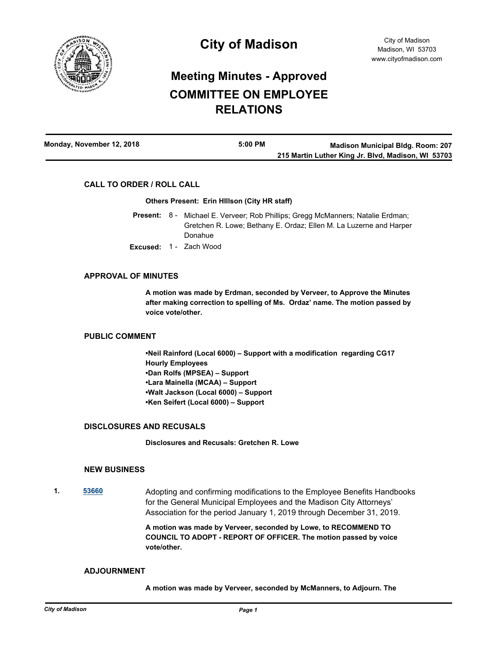

# **Meeting Minutes - Approved COMMITTEE ON EMPLOYEE RELATIONS**

| Monday, November 12, 2018 | $5:00$ PM | <b>Madison Municipal Bldg. Room: 207</b>           |
|---------------------------|-----------|----------------------------------------------------|
|                           |           | 215 Martin Luther King Jr. Blvd, Madison, WI 53703 |

## **CALL TO ORDER / ROLL CALL**

## **Others Present: Erin HIllson (City HR staff)**

- Present: 8 Michael E. Verveer; Rob Phillips; Gregg McManners; Natalie Erdman; Gretchen R. Lowe; Bethany E. Ordaz; Ellen M. La Luzerne and Harper Donahue
- **Excused:** 1 Zach Wood

## **APPROVAL OF MINUTES**

**A motion was made by Erdman, seconded by Verveer, to Approve the Minutes after making correction to spelling of Ms. Ordaz' name. The motion passed by voice vote/other.**

## **PUBLIC COMMENT**

**•Neil Rainford (Local 6000) – Support with a modification regarding CG17 Hourly Employees •Dan Rolfs (MPSEA) – Support •Lara Mainella (MCAA) – Support •Walt Jackson (Local 6000) – Support •Ken Seifert (Local 6000) – Support**

## **DISCLOSURES AND RECUSALS**

**Disclosures and Recusals: Gretchen R. Lowe**

## **NEW BUSINESS**

**1. [53660](http://madison.legistar.com/gateway.aspx?m=l&id=/matter.aspx?key=62231)** Adopting and confirming modifications to the Employee Benefits Handbooks for the General Municipal Employees and the Madison City Attorneys' Association for the period January 1, 2019 through December 31, 2019.

> **A motion was made by Verveer, seconded by Lowe, to RECOMMEND TO COUNCIL TO ADOPT - REPORT OF OFFICER. The motion passed by voice vote/other.**

## **ADJOURNMENT**

**A motion was made by Verveer, seconded by McManners, to Adjourn. The**